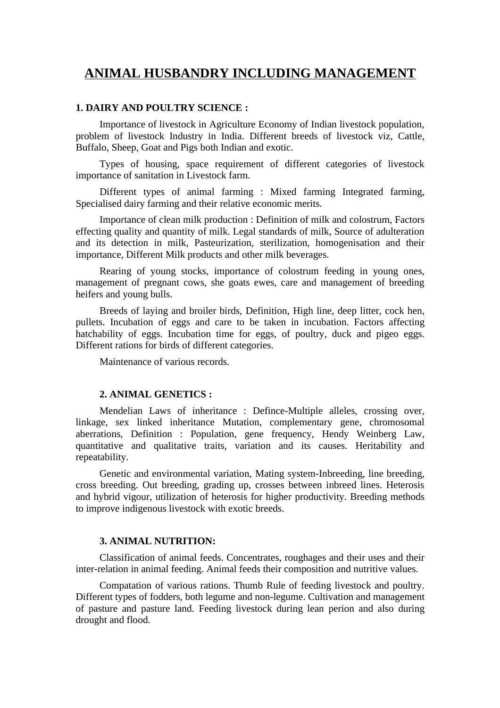# **ANIMAL HUSBANDRY INCLUDING MANAGEMENT**

## **1. DAIRY AND POULTRY SCIENCE :**

Importance of livestock in Agriculture Economy of Indian livestock population, problem of livestock Industry in India. Different breeds of livestock viz, Cattle, Buffalo, Sheep, Goat and Pigs both Indian and exotic.

Types of housing, space requirement of different categories of livestock importance of sanitation in Livestock farm.

Different types of animal farming : Mixed farming Integrated farming, Specialised dairy farming and their relative economic merits.

Importance of clean milk production : Definition of milk and colostrum, Factors effecting quality and quantity of milk. Legal standards of milk, Source of adulteration and its detection in milk, Pasteurization, sterilization, homogenisation and their importance, Different Milk products and other milk beverages.

Rearing of young stocks, importance of colostrum feeding in young ones, management of pregnant cows, she goats ewes, care and management of breeding heifers and young bulls.

Breeds of laying and broiler birds, Definition, High line, deep litter, cock hen, pullets. Incubation of eggs and care to be taken in incubation. Factors affecting hatchability of eggs. Incubation time for eggs, of poultry, duck and pigeo eggs. Different rations for birds of different categories.

Maintenance of various records.

# **2. ANIMAL GENETICS :**

Mendelian Laws of inheritance : Defince-Multiple alleles, crossing over, linkage, sex linked inheritance Mutation, complementary gene, chromosomal aberrations, Definition : Population, gene frequency, Hendy Weinberg Law, quantitative and qualitative traits, variation and its causes. Heritability and repeatability.

Genetic and environmental variation, Mating system-Inbreeding, line breeding, cross breeding. Out breeding, grading up, crosses between inbreed lines. Heterosis and hybrid vigour, utilization of heterosis for higher productivity. Breeding methods to improve indigenous livestock with exotic breeds.

## **3. ANIMAL NUTRITION:**

Classification of animal feeds. Concentrates, roughages and their uses and their inter-relation in animal feeding. Animal feeds their composition and nutritive values.

Compatation of various rations. Thumb Rule of feeding livestock and poultry. Different types of fodders, both legume and non-legume. Cultivation and management of pasture and pasture land. Feeding livestock during lean perion and also during drought and flood.